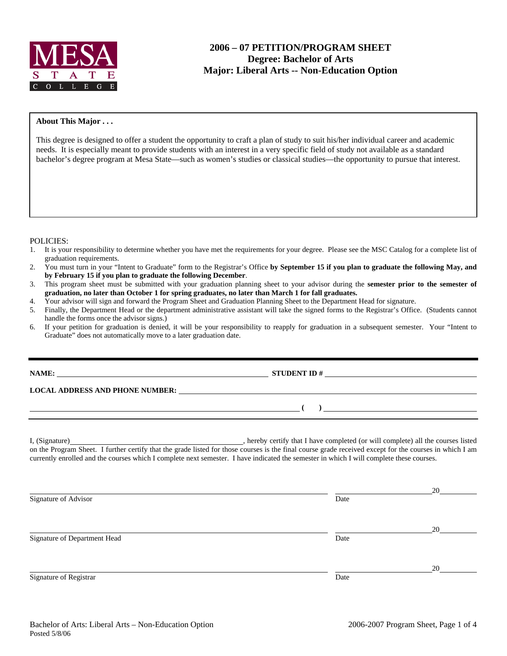

### **About This Major . . .**

This degree is designed to offer a student the opportunity to craft a plan of study to suit his/her individual career and academic needs. It is especially meant to provide students with an interest in a very specific field of study not available as a standard bachelor's degree program at Mesa State—such as women's studies or classical studies—the opportunity to pursue that interest.

#### POLICIES:

- 1. It is your responsibility to determine whether you have met the requirements for your degree. Please see the MSC Catalog for a complete list of graduation requirements.
- 2. You must turn in your "Intent to Graduate" form to the Registrar's Office **by September 15 if you plan to graduate the following May, and by February 15 if you plan to graduate the following December**.
- 3. This program sheet must be submitted with your graduation planning sheet to your advisor during the **semester prior to the semester of graduation, no later than October 1 for spring graduates, no later than March 1 for fall graduates.**
- 4. Your advisor will sign and forward the Program Sheet and Graduation Planning Sheet to the Department Head for signature.
- 5. Finally, the Department Head or the department administrative assistant will take the signed forms to the Registrar's Office. (Students cannot handle the forms once the advisor signs.)
- 6. If your petition for graduation is denied, it will be your responsibility to reapply for graduation in a subsequent semester. Your "Intent to Graduate" does not automatically move to a later graduation date.

**STUDENT ID #** 

 **( )** 

### **LOCAL ADDRESS AND PHONE NUMBER:**

I, (Signature) , hereby certify that I have completed (or will complete) all the courses listed on the Program Sheet. I further certify that the grade listed for those courses is the final course grade received except for the courses in which I am currently enrolled and the courses which I complete next semester. I have indicated the semester in which I will complete these courses.

<u>20</u> Signature of Advisor Date **Date** <u>20</u> Signature of Department Head Date <u>20</u> Signature of Registrar Date Date of Registrar Date Date of Registrar Date Date of Registrar Date Date of Registrar Date of Registrar Date of Registrar Date of Registrar Date of Registrar Date of Registrar  $\alpha$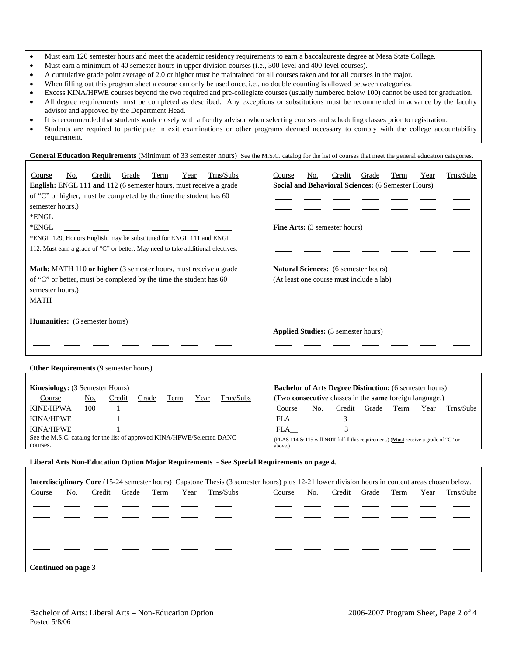- Must earn 120 semester hours and meet the academic residency requirements to earn a baccalaureate degree at Mesa State College.
- Must earn a minimum of 40 semester hours in upper division courses (i.e., 300-level and 400-level courses).
- A cumulative grade point average of 2.0 or higher must be maintained for all courses taken and for all courses in the major.
- When filling out this program sheet a course can only be used once, i.e., no double counting is allowed between categories.
- Excess KINA/HPWE courses beyond the two required and pre-collegiate courses (usually numbered below 100) cannot be used for graduation. • All degree requirements must be completed as described. Any exceptions or substitutions must be recommended in advance by the faculty advisor and approved by the Department Head.
- It is recommended that students work closely with a faculty advisor when selecting courses and scheduling classes prior to registration.
- Students are required to participate in exit examinations or other programs deemed necessary to comply with the college accountability requirement.

General Education Requirements (Minimum of 33 semester hours) See the M.S.C. catalog for the list of courses that meet the general education categories.

| Trns/Subs<br>Course<br>No.<br>Credit<br>Grade<br>Term<br>Year<br>English: ENGL 111 and 112 (6 semester hours, must receive a grade<br>of "C" or higher, must be completed by the time the student has 60<br>semester hours.)<br>*ENGL<br>*ENGL<br>*ENGL 129, Honors English, may be substituted for ENGL 111 and ENGL<br>112. Must earn a grade of "C" or better. May need to take additional electives. | Course               | No.<br>Credit<br>Social and Behavioral Sciences: (6 Semester Hours)<br><b>Fine Arts:</b> (3 semester hours)                                                                    | Grade | Term        | Year | Trns/Subs |
|----------------------------------------------------------------------------------------------------------------------------------------------------------------------------------------------------------------------------------------------------------------------------------------------------------------------------------------------------------------------------------------------------------|----------------------|--------------------------------------------------------------------------------------------------------------------------------------------------------------------------------|-------|-------------|------|-----------|
| Math: MATH 110 or higher (3 semester hours, must receive a grade<br>of "C" or better, must be completed by the time the student has 60<br>semester hours.)<br><b>MATH</b>                                                                                                                                                                                                                                |                      | Natural Sciences: (6 semester hours)<br>(At least one course must include a lab)                                                                                               |       |             |      |           |
| <b>Humanities:</b> (6 semester hours)                                                                                                                                                                                                                                                                                                                                                                    |                      | <b>Applied Studies:</b> (3 semester hours)                                                                                                                                     |       |             |      |           |
| Other Requirements (9 semester hours)                                                                                                                                                                                                                                                                                                                                                                    |                      |                                                                                                                                                                                |       |             |      |           |
| Kinesiology: (3 Semester Hours)<br>Course<br>Trns/Subs<br>No.<br>Credit<br>Grade<br>Term<br>Year<br><b>KINE/HPWA</b><br>100<br>$\mathbf{1}$<br><b>KINA/HPWE</b><br>$\overline{1}$<br>$\mathbf{1}$<br>KINA/HPWE<br>See the M.S.C. catalog for the list of approved KINA/HPWE/Selected DANC                                                                                                                | Course<br>FLA<br>FLA | <b>Bachelor of Arts Degree Distinction:</b> (6 semester hours)<br>(Two consecutive classes in the same foreign language.)<br>Credit<br>No.<br>$\overline{3}$<br>3 <sup>7</sup> | Grade | Term        | Year | Trns/Subs |
| courses.                                                                                                                                                                                                                                                                                                                                                                                                 | above.)              | (FLAS 114 & 115 will <b>NOT</b> fulfill this requirement.) (Must receive a grade of "C" or                                                                                     |       |             |      |           |
| Liberal Arts Non-Education Option Major Requirements - See Special Requirements on page 4.                                                                                                                                                                                                                                                                                                               |                      |                                                                                                                                                                                |       |             |      |           |
| <b>Interdisciplinary Core</b> (15-24 semester hours) Capstone Thesis (3 semester hours) plus 12-21 lower division hours in content areas chosen below.<br>Trns/Subs<br>Course<br>No.<br>Credit<br>Grade<br>Year<br>Term                                                                                                                                                                                  | Course               | Credit<br>No.                                                                                                                                                                  | Grade | <u>Term</u> | Year | Trns/Subs |
| Continued on page 3                                                                                                                                                                                                                                                                                                                                                                                      |                      |                                                                                                                                                                                |       |             |      |           |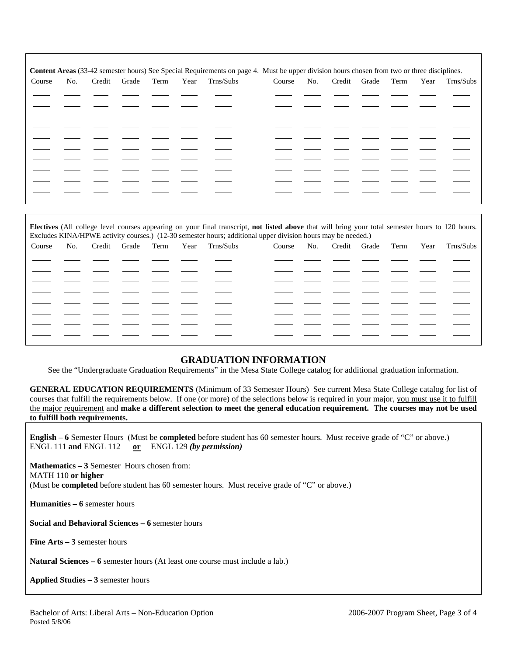|        |     |        |       |      |      | Content Areas (33-42 semester hours) See Special Requirements on page 4. Must be upper division hours chosen from two or three disciplines. |        |            |        |       |      |      |           |
|--------|-----|--------|-------|------|------|---------------------------------------------------------------------------------------------------------------------------------------------|--------|------------|--------|-------|------|------|-----------|
| Course | No. | Credit | Grade | Term | Year | Trns/Subs                                                                                                                                   | Course | <u>No.</u> | Credit | Grade | Term | Year | Trns/Subs |
|        |     |        |       |      |      |                                                                                                                                             |        |            |        |       |      |      |           |
|        |     |        |       |      |      |                                                                                                                                             |        |            |        |       |      |      |           |
|        |     |        |       |      |      |                                                                                                                                             |        |            |        |       |      |      |           |
|        |     |        |       |      |      |                                                                                                                                             |        |            |        |       |      |      |           |
|        |     |        |       |      |      |                                                                                                                                             |        |            |        |       |      |      |           |
|        |     |        |       |      |      |                                                                                                                                             |        |            |        |       |      |      |           |
|        |     |        |       |      |      |                                                                                                                                             |        |            |        |       |      |      |           |
|        |     |        |       |      |      |                                                                                                                                             |        |            |        |       |      |      |           |
|        |     |        |       |      |      |                                                                                                                                             |        |            |        |       |      |      |           |
|        |     |        |       |      |      |                                                                                                                                             |        |            |        |       |      |      |           |
|        |     |        |       |      |      |                                                                                                                                             |        |            |        |       |      |      |           |

**Electives** (All college level courses appearing on your final transcript, **not listed above** that will bring your total semester hours to 120 hours. Excludes KINA/HPWE activity courses.) (12-30 semester hours; additional upper division hours may be needed.)

| Course | <u>No.</u> | Credit | Grade | Term | Year | Trns/Subs | Course | <u>No.</u> | Credit | Grade | Term | Year | Trns/Subs |
|--------|------------|--------|-------|------|------|-----------|--------|------------|--------|-------|------|------|-----------|
|        |            |        |       |      |      |           |        |            |        |       |      |      |           |
|        |            |        |       |      |      |           |        |            |        |       |      |      |           |
|        |            |        |       |      |      |           |        |            |        |       |      |      |           |
|        |            |        |       |      |      |           |        |            |        |       |      |      |           |
|        |            |        |       |      |      |           |        |            |        |       |      |      |           |
|        |            |        |       |      |      |           |        |            |        |       |      |      |           |
|        |            |        |       |      |      |           |        |            |        |       |      |      |           |
|        |            |        |       |      |      |           |        |            |        |       |      |      |           |
|        |            |        |       |      |      |           |        |            |        |       |      |      |           |
|        |            |        |       |      |      |           |        |            |        |       |      |      |           |
|        |            |        |       |      |      |           |        |            |        |       |      |      |           |

## **GRADUATION INFORMATION**

See the "Undergraduate Graduation Requirements" in the Mesa State College catalog for additional graduation information.

**GENERAL EDUCATION REQUIREMENTS** (Minimum of 33 Semester Hours) See current Mesa State College catalog for list of courses that fulfill the requirements below. If one (or more) of the selections below is required in your major, you must use it to fulfill the major requirement and **make a different selection to meet the general education requirement. The courses may not be used to fulfill both requirements.**

**English – 6** Semester Hours (Must be **completed** before student has 60 semester hours. Must receive grade of "C" or above.) ENGL 111 **and** ENGL 112 **or** ENGL 129 *(by permission)*

**Mathematics – 3** Semester Hours chosen from: MATH 110 **or higher** (Must be **completed** before student has 60 semester hours. Must receive grade of "C" or above.)

**Humanities – 6** semester hours

**Social and Behavioral Sciences – 6** semester hours

**Fine Arts – 3** semester hours

**Natural Sciences – 6** semester hours (At least one course must include a lab.)

**Applied Studies – 3** semester hours